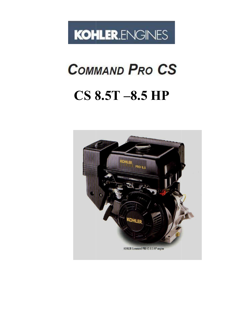

# **COMMAND PRO CS**

# **CS 8.5T –8.5 HP**

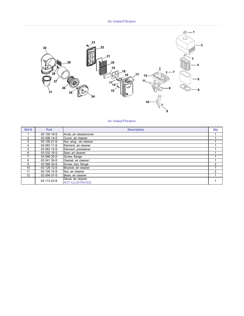

#### Air Intake/Filtration

| Ref#          | Part        | <b>Description</b>                            | Qty           |
|---------------|-------------|-----------------------------------------------|---------------|
|               | 63 100 19-S | Knob, air cleanercover                        |               |
| $\mathcal{P}$ | 63 096 14-S | Cover, air cleaner                            |               |
| 3             | 63 100 21-S | Nut, wing - air cleaner                       |               |
| 4             | 63 083 11-S | Element, air cleaner                          |               |
| 5             | 63 083 12-S | Element, precleaner                           |               |
| 6             | 63 032 18-S | Seal, air cleaner                             |               |
|               | 63 086 20-S | Screw, flange                                 |               |
| 8             | 63 041 39-S | Gasket, air cleaner                           |               |
| 9             | 63 086 35-S | Screw, hex. flange                            | 2             |
| 10            | 63 126 12-S | Bracket, air cleaner                          |               |
| 11            | 63 100 15-S | Nut, air cleaner                              | $\mathcal{P}$ |
| 12            | 63 094 07-S | Base, air cleaner                             |               |
|               | 63 113 03-S | Decal, air cleaner<br><b>NOT ILLUSTRATED.</b> |               |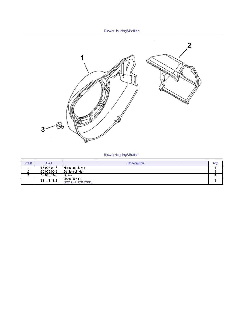#### BlowerHousing&Baffles



#### BlowerHousing&Baffles

| Ref#          | Part        | <b>Description</b>                | Qt۱ |
|---------------|-------------|-----------------------------------|-----|
|               | 63 027 04-S | Housing, blower                   |     |
| ⌒<br><u>.</u> | 63 063 03-S | Baffle, cylinder                  |     |
| J             | 63 086 14-S | Screw                             |     |
|               | 63 113 13-S | Decal, 8.5 HP<br>NOT ILLUSTRATED. |     |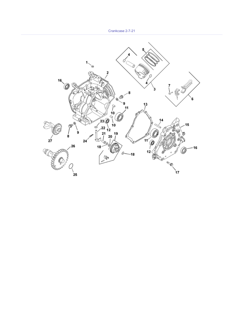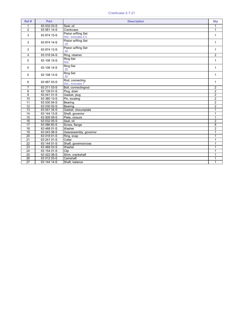| Ref#            | <b>Part</b> | <b>Description</b>                      | Qty            |
|-----------------|-------------|-----------------------------------------|----------------|
| $\mathbf{1}$    | 63 032 03-S | Seal, oil                               | 1              |
| $\overline{2}$  | 63 561 14-S | Crankcase                               | $\mathbf{1}$   |
| 3               | 63 874 15-S | Piston w/Ring Set<br>Std.; Includes 4,5 | 1              |
| 3               | 63 874 14-S | Piston w/Ring Set<br>.25                | 1              |
| 3               | 63 874 13-S | Piston w/Ring Set<br>.50                | $\mathbf{1}$   |
| 4               | 63 018 04-S | Ring, retainer                          | $\overline{2}$ |
| 5               | 63 108 15-S | <b>Ring Set</b><br>Std.                 | $\mathbf{1}$   |
| 5               | 63 108 14-S | <b>Ring Set</b><br>.25                  | 1              |
| 5               | 63 108 13-S | <b>Ring Set</b><br>.50                  | 1              |
| 6               | 63 067 03-S | Rod, connecting<br>Std.; Includes 7     | $\mathbf{1}$   |
| $\overline{7}$  | 63 211 03-S | Bolt, connectingrod                     | $\overline{2}$ |
| 8               | 63 139 01-S | Plug, drain                             | $\overline{2}$ |
| 9               | 63 041 01-S | Gasket, plug                            | $\overline{2}$ |
| 10              | 63 380 13-S | Pin, locating                           | $\overline{2}$ |
| $\overline{11}$ | 63 030 04-S | Bearing                                 | $\overline{2}$ |
| $\overline{12}$ | 63 030 02-S | Bearing                                 | $\overline{2}$ |
| 13              | 63 041 34-S | Gasket, closureplate                    | 1              |
| 14              | 63 144 13-S | Shaft, governor                         | 1              |
| 15              | 63 009 09-S | Plate, closure                          | $\mathbf{1}$   |
| 16              | 63 032 05-S | Seal, oil                               | $\overline{2}$ |
| 17              | 63 086 60-S | Screw, flange                           | $\overline{8}$ |
| 18              | 63 468 01-S | Washer                                  | $\overline{2}$ |
| 19              | 63 043 08-S | Gearassembly, governor                  | $\mathbf{1}$   |
| 20              | 63 018 01-S | Ring, snap                              | 1              |
| $\overline{21}$ | 63 241 01-S | Collar                                  | $\mathbf 1$    |
| 22              | 63 144 01-S | Shaft, governorcross                    | $\mathbf{1}$   |
| $\overline{23}$ | 63 468 03-S | Washer                                  | 1              |
| 24              | 63 154 01-S | Clip                                    | 1              |
| 25              | 63 422 08-S | Shim, crankshaft                        | 1              |
| $\overline{26}$ | 63 012 03-S | Camshaft                                | $\mathbf 1$    |
| $\overline{27}$ | 63 144 14-S | Shaft, balance                          | $\mathbf{1}$   |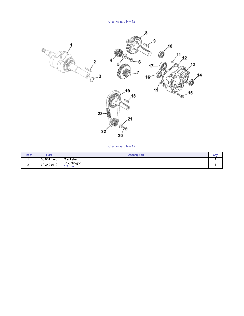Crankshaft 1-7-12



Crankshaft 1-7-12

| Ref # | Part        | <b>Description</b>      | Qt۱ |
|-------|-------------|-------------------------|-----|
|       | 63 014 12-S | Crankshaft              |     |
|       | 63 340 01-S | Key, straight<br>6.3 mm |     |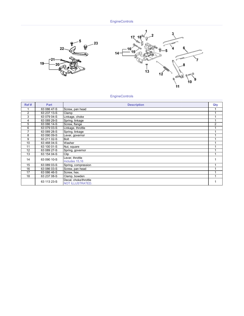**EngineControls** 





# EngineControls

| Ref#           | Part        | <b>Description</b>                               | Qty            |
|----------------|-------------|--------------------------------------------------|----------------|
|                | 63 086 47-S | Screw, pan head                                  |                |
| $\overline{2}$ | 63 237 13-S | Clamp                                            |                |
| 3              | 63 079 04-S | Linkage, choke                                   |                |
| 4              | 63 089 29-S | Spring, linkage                                  |                |
| 5              | 63 086 14-S | Screw, flange                                    | $\overline{2}$ |
| 6              | 63 079 03-S | Linkage, throttle                                |                |
| $\overline{7}$ | 63 089 28-S | Spring, linkage                                  |                |
| 8              | 63 090 09-S | Lever, governor                                  |                |
| 9              | 63 211 02-S | Bolt                                             |                |
| 10             | 63 468 04-S | Washer                                           |                |
| 11             | 63 100 01-S | Nut, square                                      |                |
| 12             | 63 089 27-S | Spring, governor                                 |                |
| 13             | 63 154 04-S | Clip                                             |                |
| 14             | 63 090 10-S | Lever, throttle                                  |                |
|                |             | Includes 15,16                                   |                |
| 15             | 63 089 03-S | Spring, compression                              |                |
| 16             | 63 086 03-S | Screw, pan head                                  |                |
| 17             | 63 086 46-S | Screw, hex.                                      |                |
| 18             | 63 237 08-S | Clamp, bowden                                    |                |
|                | 63 113 23-S | Decal, choke/throttle<br><b>NOT ILLUSTRATED.</b> |                |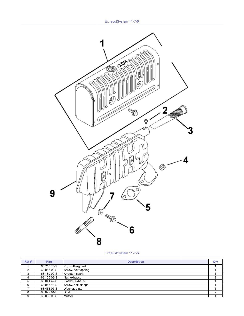

ExhaustSystem 11-7-6

| Ref# | Part        | <b>Description</b>  | Qty |
|------|-------------|---------------------|-----|
|      | 63 755 16-S | Kit, mufflerquard   |     |
| റ    | 63 086 09-S | Screw, self-tapping |     |
| 3    | 63 189 02-S | Arrestor, spark     |     |
| 4    | 63 100 03-S | Nut, exhaust        |     |
| 5    | 63 041 42-S | Gasket, exhaust     |     |
| 6    | 63 086 10-S | Screw, hex. flange  |     |
|      | 63 468 05-S | Washer, plate       |     |
| 8    | 63 072 01-S | Stud                | ົ   |
| 9    | 63 068 03-S | Muffler             |     |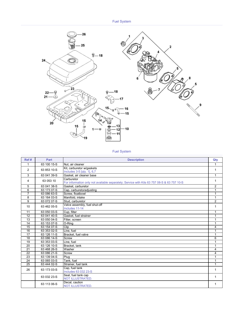

### Fuel System

| Ref#            | Part        | <b>Description</b>                                                                                       | Qty            |
|-----------------|-------------|----------------------------------------------------------------------------------------------------------|----------------|
| 1               | 63 100 15-S | Nut, air cleaner                                                                                         | 1              |
| 2               | 63 853 10-S | Kit, carburetor w/gaskets<br>Includes 3-5 [qty. 1], 6,7                                                  | 1              |
| 3               | 63 041 39-S | Gasket, air cleaner base                                                                                 | $\mathbf{1}$   |
| 4               | 63 053 10   | Carburetor<br>For information only not available separately; Service with Kits 63 757 08-S & 63 757 10-S | 1              |
| 5               | 63 041 38-S | Gasket, carburetor                                                                                       | $\overline{2}$ |
| 6               | 63 173 07-S | Cap, carburetoradjusting                                                                                 | $\mathbf{1}$   |
| $\overline{7}$  | 63 086 63-S | Screw, floatbowl                                                                                         | 1              |
| 8               | 63 164 03-S | Manifold, intake                                                                                         | $\mathbf{1}$   |
| 9               | 63 072 07-S | Stud. carburetor                                                                                         | $\overline{2}$ |
| 10              | 63 462 05-S | Valve assembly, fuel shut-off<br>Includes 11-14                                                          | 1              |
| 11              | 63 050 03-S | Cup, filter                                                                                              | 1              |
| 12              | 63 041 40-S | Gasket, fuel strainer                                                                                    | $\mathbf 1$    |
| 13              | 63 050 04-S | Filter, screen                                                                                           | 1              |
| 14              | 63 153 07-S | O-Ring                                                                                                   | 1              |
| 15              | 63 154 07-S | Clip                                                                                                     | 4              |
| $\overline{16}$ | 63 353 02-S | Line, fuel                                                                                               | 1              |
| $\overline{17}$ | 63 126 11-S | Bracket, fuel valve                                                                                      | 1              |
| 18              | 63 086 14-S | Screw                                                                                                    | 6              |
| $\overline{19}$ | 63 353 03-S | Line, fuel                                                                                               | 1              |
| 20              | 63 126 10-S | Bracket, tank                                                                                            | 1              |
| 21              | 63 468 26-S | Washer                                                                                                   | 4              |
| 22              | 63 086 21-S | Screw                                                                                                    | 4              |
| $\overline{23}$ | 63 139 04-S | Plug                                                                                                     | 1              |
| $\overline{24}$ | 63 065 03-S | Tank. fuel                                                                                               | $\mathbf{1}$   |
| $\overline{25}$ | 63 444 02-S | Strainer, fuel tank                                                                                      | $\mathbf{1}$   |
| 26              | 63 173 03-S | Cap, fuel tank<br>Includes 63 032 23-S                                                                   | 1              |
|                 | 63 032 23-S | Seal, fuel tank cap<br><b>NOT ILLUSTRATED.</b>                                                           | 1              |
|                 | 63 113 06-S | Decal, caution<br><b>NOT ILLUSTRATED.</b>                                                                | 1              |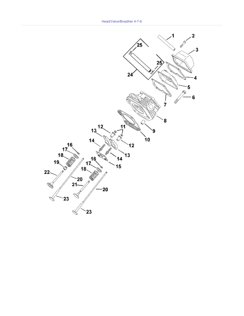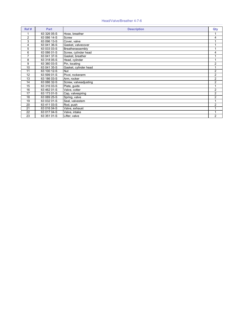|  |  | Head/Valve/Breather 4-7-6 |  |
|--|--|---------------------------|--|
|--|--|---------------------------|--|

| Ref#           | Part        | <b>Description</b>    | Qty            |
|----------------|-------------|-----------------------|----------------|
|                | 63 326 05-S | Hose, breather        |                |
| $\overline{2}$ | 63 086 14-S | Screw                 | 4              |
| 3              | 63 096 13-S | Cover, valve          |                |
| 4              | 63 041 36-S | Gasket, valvecover    |                |
| 5              | 63 033 03-S | Breatherassembly      |                |
| 6              | 63 086 01-S | Screw, cylinder head  | 4              |
| $\overline{7}$ | 63 041 37-S | Gasket, breather      |                |
| 8              | 63 318 05-S | Head, cylinder        |                |
| 9              | 63 380 03-S | Pin, locating         | $\overline{2}$ |
| 10             | 63 041 35-S | Gasket, cylinder head |                |
| 11             | 63 100 12-S | <b>Nut</b>            | $\overline{2}$ |
| 12             | 63 599 01-S | Pivot, rockerarm      | $\overline{2}$ |
| 13             | 63 186 03-S | Arm, rocker           | $\overline{2}$ |
| 14             | 63 086 32-S | Screw, valveadjusting | $\overline{2}$ |
| 15             | 63 316 03-S | Plate, guide          |                |
| 16             | 63 462 01-S | Valve, cotter         | $\overline{2}$ |
| 17             | 63 173 01-S | Cap, valvespring      | $\overline{2}$ |
| 18             | $6308925-S$ | Spring, valve         | $\overline{2}$ |
| 19             | 63 032 01-S | Seal, valvestem       |                |
| 20             | 63 411 03-S | Rod, push             | $\overline{2}$ |
| 21             | 63 016 04-S | Valve, exhaust        |                |
| 22             | 63 017 04-S | Valve, intake         |                |
| 23             | 63 351 01-S | Lifter, valve         | $\overline{2}$ |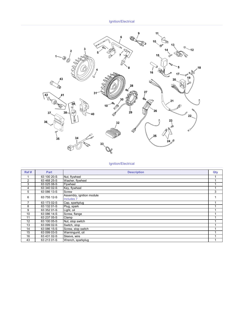Ignition/Electrical



#### Ignition/Electrical

| Ref#           | Part        | <b>Description</b>                                 | Qty |
|----------------|-------------|----------------------------------------------------|-----|
|                | 63 100 20-S | Nut, flywheel                                      |     |
| $\overline{2}$ | 63 468 25-S | Washer, flywheel                                   |     |
| 3              | 63 025 08-S | Flywheel                                           |     |
| 4              | 63 340 02-S | Key, flywheel                                      |     |
| 5              | 63 086 13-S | Screw                                              | 3   |
| 6              | 63 755 12-S | Assembly, ignition module<br>Includes <sub>7</sub> |     |
| 7              | 63 173 02-S | Cap, sparkplug                                     |     |
| 8              | 63 132 01-S | Plug, spark                                        |     |
| 9              | 63 352 01-S | Light, oil                                         |     |
| 10             | 63 086 14-S | Screw, flange                                      |     |
| 11             | 63 237 05-S | Clamp                                              |     |
| 12             | 63 100 05-S | Nut, stop switch                                   |     |
| 13             | 63 099 02-S | Switch, stop                                       |     |
| 14             | 63 086 15-S | Screw, stop switch                                 |     |
| 15             | 63 099 03-S | Warningunit, oil                                   |     |
| 16             | 63 431 02-S | Sleeve, wire                                       |     |
| 43             | 63 213 01-S | Wrench, sparkplug                                  |     |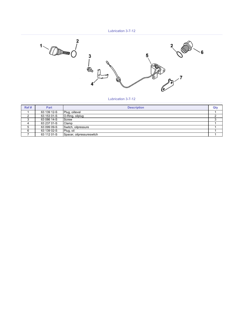

Lubrication 3-7-12

| Ref# | Part        | <b>Description</b>        | Qty |
|------|-------------|---------------------------|-----|
|      | 63 139 12-S | Plug, oillevel            |     |
|      | 63 153 01-S | O-Ring, oilplug           |     |
| J    | 63 086 14-S | <b>Screw</b>              |     |
| 4    | 63 237 01-S | Clamp                     |     |
| 5    | 63 099 09-S | Switch, oilpressure       |     |
| 6    | 63 139 02-S | Plug, oil                 |     |
|      | 63 112 01-S | Spacer, oilpressureswitch |     |